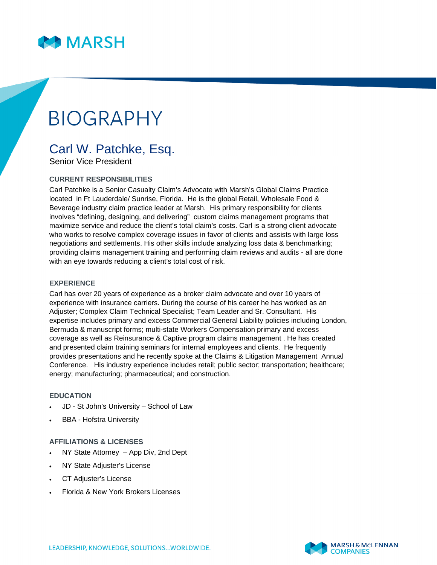

# **BIOGRAPHY**

# Carl W. Patchke, Esq.

Senior Vice President

## **CURRENT RESPONSIBILITIES**

Carl Patchke is a Senior Casualty Claim's Advocate with Marsh's Global Claims Practice located in Ft Lauderdale/ Sunrise, Florida. He is the global Retail, Wholesale Food & Beverage industry claim practice leader at Marsh. His primary responsibility for clients involves "defining, designing, and delivering" custom claims management programs that maximize service and reduce the client's total claim's costs. Carl is a strong client advocate who works to resolve complex coverage issues in favor of clients and assists with large loss negotiations and settlements. His other skills include analyzing loss data & benchmarking; providing claims management training and performing claim reviews and audits - all are done with an eye towards reducing a client's total cost of risk.

### **EXPERIENCE**

Carl has over 20 years of experience as a broker claim advocate and over 10 years of experience with insurance carriers. During the course of his career he has worked as an Adjuster; Complex Claim Technical Specialist; Team Leader and Sr. Consultant. His expertise includes primary and excess Commercial General Liability policies including London, Bermuda & manuscript forms; multi-state Workers Compensation primary and excess coverage as well as Reinsurance & Captive program claims management . He has created and presented claim training seminars for internal employees and clients. He frequently provides presentations and he recently spoke at the Claims & Litigation Management Annual Conference. His industry experience includes retail; public sector; transportation; healthcare; energy; manufacturing; pharmaceutical; and construction.

#### **EDUCATION**

- JD St John's University School of Law
- BBA Hofstra University

#### **AFFILIATIONS & LICENSES**

- NY State Attorney App Div, 2nd Dept
- NY State Adjuster's License
- CT Adjuster's License
- Florida & New York Brokers Licenses